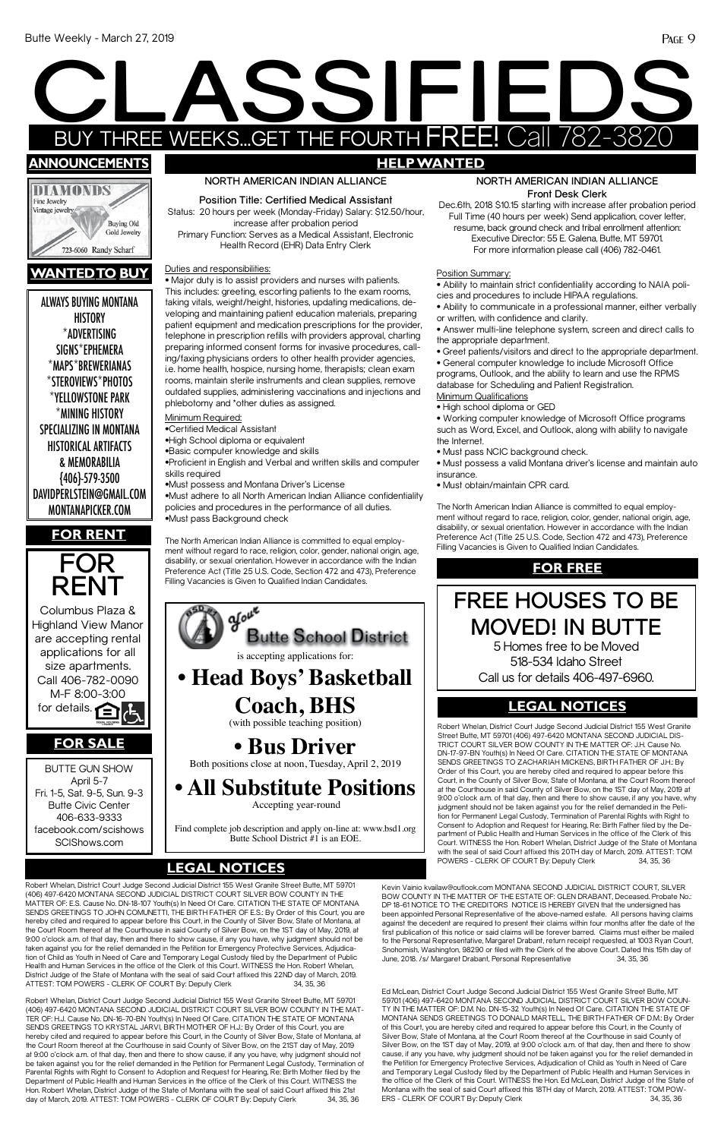ALWAYS BUYING MONTANA **HISTORY** \*ADVERTISING SIGNS\*EPHEMERA \*MAPS\*BREWERIANAS \*STEROVIEWS\*PHOTOS \*YELLOWSTONE PARK \*MINING HISTORY SPECIALIZING IN MONTANA HISTORICAL ARTIFACTS & MEMORABILIA {406}-579-3500 DAVIDPERLSTEIN@GMAIL.COM MONTANAPICKER.COM

# **CLASS CONSERVERS OF THE REAL PROPERTY OF THE REAL PROPERTY** BUY THREE WEEKS...GET THE FOURTH FREE! Call 782-3820 **SSIFIE announcements HELP WANTED**



# **wantedto buy**





## **NORTH AMERICAN INDIAN ALLIANCE Front Desk Clerk**

Dec.6th, 2018 \$10.15 starting with increase after probation period Full Time (40 hours per week) Send application, cover letter, resume, back ground check and tribal enrollment attention: Executive Director: 55 E. Galena, Butte, MT 59701. For more information please call (406) 782-0461.

Position Summary:

• Ability to maintain strict confidentiality according to NAIA policies and procedures to include HIPAA regulations.

- Ability to communicate in a professional manner, either verbally or written, with confidence and clarity.
- Answer multi-line telephone system, screen and direct calls to the appropriate department.
- Greet patients/visitors and direct to the appropriate department.

• General computer knowledge to include Microsoft Office programs, Outlook, and the ability to learn and use the RPMS database for Scheduling and Patient Registration.

- Minimum Qualifications
- High school diploma or GED

• Working computer knowledge of Microsoft Office programs such as Word, Excel, and Outlook, along with ability to navigate the Internet.

- Must pass NCIC background check.
- Must possess a valid Montana driver's license and maintain auto insurance.
- Must obtain/maintain CPR card.

The North American Indian Alliance is committed to equal employment without regard to race, religion, color, gender, national origin, age, disability, or sexual orientation. However in accordance with the Indian Preference Act (Title 25 U.S. Code, Section 472 and 473), Preference Filling Vacancies is Given to Qualified Indian Candidates.

## **NORTH AMERICAN INDIAN ALLIANCE**

**Position Title: Certified Medical Assistant** Status: 20 hours per week (Monday-Friday) Salary: \$12.50/hour, increase after probation period Primary Function: Serves as a Medical Assistant, Electronic Health Record (EHR) Data Entry Clerk

Duties and responsibilities:

### Court. WITNESS the Hon. Robert Whelan, District Judge of the State of Montana with the seal of said Court affixed this 20TH day of March, 2019. ATTEST: TOM<br>POWERS - CLERK OF COURT By: Deputy Clerk 34, 35, 36 **LEGAL NOTICES** POWERS - CLERK OF COURT By: Deputy Clerk 34, 35, 36 **LEGAL NOTICES**

• Major duty is to assist providers and nurses with patients. This includes: greeting, escorting patients to the exam rooms, taking vitals, weight/height, histories, updating medications, developing and maintaining patient education materials, preparing patient equipment and medication prescriptions for the provider, telephone in prescription refills with providers approval, charting preparing informed consent forms for invasive procedures, calling/faxing physicians orders to other health provider agencies, i.e. home health, hospice, nursing home, therapists; clean exam rooms, maintain sterile instruments and clean supplies, remove outdated supplies, administering vaccinations and injections and phlebotomy and \*other duties as assigned.

Robert Whelan, District Court Judge Second Judicial District 155 West Granite Street Butte, MT 59701 (406) 497-6420 MONTANA SECOND JUDICIAL DISTRICT COURT SILVER BOW COUNTY IN THE MAT-TER OF: H.J. Cause No. DN-16-70-BN Youth(s) In Need Of Care. CITATION THE STATE OF MONTANA SENDS GREETINGS TO KRYSTAL JARVI, BIRTH MOTHER OF H.J.: By Order of this Court, you are hereby cited and required to appear before this Court, in the County of Silver Bow, State of Montana, at the Court Room thereof at the Courthouse in said County of Silver Bow, on the 21ST day of May, 2019 at 9:00 o'clock a.m. of that day, then and there to show cause, if any you have, why judgment should not be taken against you for the relief demanded in the Petition for Permanent Legal Custody, Termination of Parental Rights with Right to Consent to Adoption and Request for Hearing, Re: Birth Mother filed by the Department of Public Health and Human Services in the office of the Clerk of this Court. WITNESS the Hon. Robert Whelan, District Judge of the State of Montana with the seal of said Court affixed this 21st day of March, 2019. ATTEST: TOM POWERS - CLERK OF COURT By: Deputy Clerk 34, 35, 36

Minimum Required:

•Certified Medical Assistant

•High School diploma or equivalent

•Basic computer knowledge and skills

•Proficient in English and Verbal and written skills and computer skills required

•Must possess and Montana Driver's License

•Must adhere to all North American Indian Alliance confidentiality policies and procedures in the performance of all duties. •Must pass Background check

The North American Indian Alliance is committed to equal employment without regard to race, religion, color, gender, national origin, age, disability, or sexual orientation. However in accordance with the Indian Preference Act (Title 25 U.S. Code, Section 472 and 473), Preference Filling Vacancies is Given to Qualified Indian Candidates.

Robert Whelan, District Court Judge Second Judicial District 155 West Granite Street Butte, MT 59701 (406) 497-6420 MONTANA SECOND JUDICIAL DISTRICT COURT SILVER BOW COUNTY IN THE MATTER OF: E.S. Cause No. DN-18-107 Youth(s) In Need Of Care. CITATION THE STATE OF MONTANA SENDS GREETINGS TO JOHN COMUNETTI, THE BIRTH FATHER OF E.S.: By Order of this Court, you are hereby cited and required to appear before this Court, in the County of Silver Bow, State of Montana, at the Court Room thereof at the Courthouse in said County of Silver Bow, on the 1ST day of May, 2019, at 9:00 o'clock a.m. of that day, then and there to show cause, if any you have, why judgment should not be taken against you for the relief demanded in the Petition for Emergency Protective Services, Adjudication of Child as Youth in Need of Care and Temporary Legal Custody filed by the Department of Public Health and Human Services in the office of the Clerk of this Court. WITNESS the Hon. Robert Whelan, District Judge of the State of Montana with the seal of said Court affixed this 22ND day of March, 2019. ATTEST: TOM POWERS - CLERK OF COURT By: Deputy Clerk 34, 35, 36



Find complete job description and apply on-line at: www.bsd1.org

Butte School District #1 is an EOE.

# **FOR RENT**

# **FREE HOUSES TO BE MOVED! IN BUTTE**  5 Homes free to be Moved

518-534 Idaho Street Call us for details 406-497-6960.

## **FOR FREE**

Ed McLean, District Court Judge Second Judicial District 155 West Granite Street Butte, MT 59701 (406) 497-6420 MONTANA SECOND JUDICIAL DISTRICT COURT SILVER BOW COUN-TY IN THE MATTER OF: D.M. No. DN-15-32 Youth(s) In Need Of Care. CITATION THE STATE OF MONTANA SENDS GREETINGS TO DONALD MARTELL, THE BIRTH FATHER OF D.M.: By Order of this Court, you are hereby cited and required to appear before this Court, in the County of Silver Bow, State of Montana, at the Court Room thereof at the Courthouse in said County of Silver Bow, on the 1ST day of May, 2019, at 9:00 o'clock a.m. of that day, then and there to show cause, if any you have, why judgment should not be taken against you for the relief demanded in the Petition for Emergency Protective Services, Adjudication of Child as Youth in Need of Care and Temporary Legal Custody filed by the Department of Public Health and Human Services in the office of the Clerk of this Court. WITNESS the Hon. Ed McLean, District Judge of the State of Montana with the seal of said Court affixed this 18TH day of March, 2019. ATTEST: TOM POW-ERS - CLERK OF COURT By: Deputy Clerk 34, 35, 36

BUTTE GUN SHOW April 5-7 Fri. 1-5, Sat. 9-5, Sun. 9-3 Butte Civic Center 406-633-9333 facebook.com/scishows

# **FOR SALE**

# **LEGAL NOTICES**

Robert Whelan, District Court Judge Second Judicial District 155 West Granite Street Butte, MT 59701 (406) 497-6420 MONTANA SECOND JUDICIAL DIS-TRICT COURT SILVER BOW COUNTY IN THE MATTER OF: J.H. Cause No. DN-17-97-BN Youth(s) In Need Of Care. CITATION THE STATE OF MONTANA SENDS GREETINGS TO ZACHARIAH MICKENS, BIRTH FATHER OF J.H.: By Order of this Court, you are hereby cited and required to appear before this Court, in the County of Silver Bow, State of Montana, at the Court Room thereof at the Courthouse in said County of Silver Bow, on the 1ST day of May, 2019 at 9:00 o'clock a.m. of that day, then and there to show cause, if any you have, why judgment should not be taken against you for the relief demanded in the Petition for Permanent Legal Custody, Termination of Parental Rights with Right to Consent to Adoption and Request for Hearing, Re: Birth Father filed by the Department of Public Health and Human Services in the office of the Clerk of this

Kevin Vainio kvailaw@outlook.com MONTANA SECOND JUDICIAL DISTRICT COURT, SILVER BOW COUNTY IN THE MATTER OF THE ESTATE OF: GLEN DRABANT, Deceased. Probate No.: DP 18-61 NOTICE TO THE CREDITORS NOTICE IS HEREBY GIVEN that the undersigned has been appointed Personal Representative of the above-named estate. All persons having claims against the decedent are required to present their claims within four months after the date of the first publication of this notice or said claims will be forever barred. Claims must either be mailed to the Personal Representative, Margaret Drabant, return receipt requested, at 1003 Ryan Court, Snohomish, Washington, 98290 or filed with the Clerk of the above Court. Dated this 15th day of June, 2018. /s/ Margaret Drabant, Personal Representative 34, 35, 36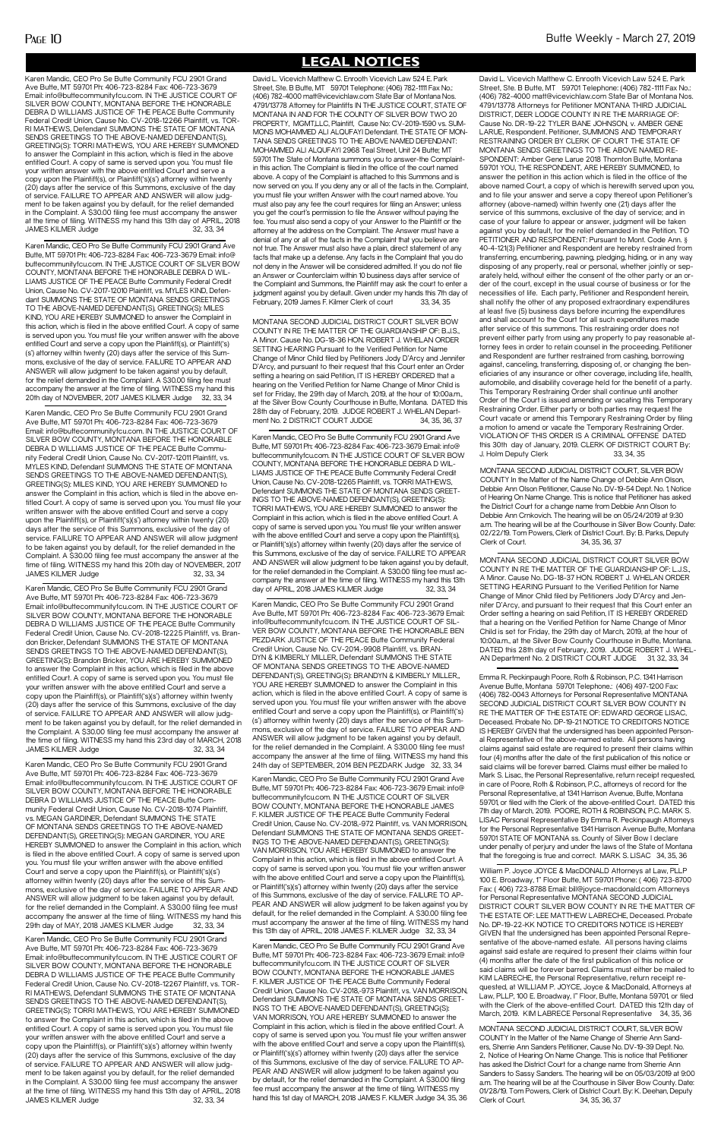MONTANA SECOND JUDICIAL DISTRICT COURT SILVER BOW COUNTY IN RE THE MATTER OF THE GUARDIANSHIP OF: B.J.S. A Minor. Cause No. DG-18-36 HON. ROBERT J. WHELAN ORDER SETTING HEARING Pursuant to the Verified Petition for Name Change of Minor Child filed by Petitioners Jody D'Arcy and Jennifer D'Arcy, and pursuant to their request that this Court enter an Order setting a hearing on said Petition, IT IS HEREBY ORDERED that a hearing on the Verified Petition for Name Change of Minor Child is set for Friday, the 29th day of March, 2019, at the hour of 10:00a.m., at the Silver Bow County Courthouse in Butte, Montana. DATED this 28th day of February, 2019. JUDGE ROBERT J. WHELAN Department No. 2 DISTRICT COURT JUDGE 34, 35, 36, 37

## **LEGAL NOTICES**

MONTANA SECOND JUDICIAL DISTRICT COURT SILVER BOW COUNTY IN RE THE MATTER OF THE GUARDIANSHIP OF: L.J.S. A Minor. Cause No. DG-18-37 HON. ROBERT J. WHELAN ORDER SETTING HEARING Pursuant to the Verified Petition for Name Change of Minor Child filed by Petitioners Jody D'Arcy and Jennifer D'Arcy, and pursuant to their request that this Court enter an Order setting a hearing on said Petition, IT IS HEREBY ORDERED that a hearing on the Verified Petition for Name Change of Minor Child is set for Friday, the 29th day of March, 2019, at the hour of 10:00a.m., at the Silver Bow County Courthouse in Butte, Montana. DATED this 28th day of February, 2019. JUDGE ROBERT J. WHEL-AN Department No. 2 DISTRICT COURT JUDGE 31, 32, 33, 34

Karen Mandic, CEO Pro Se Butte Community FCU 2901 Grand Ave Butte, MT 59701 Ph: 406-723-8284 Fax: 406-723-3679 Email: info@buttecommunityfcu.com. IN THE JUSTICE COURT OF SILVER BOW COUNTY, MONTANA BEFORE THE HONORABLE DEBRA D WILLIAMS JUSTICE OF THE PEACE Butte Community Federal Credit Union, Cause No. CV-2018-12225 Plaintiff, vs. Brandon Bricker, Defendant SUMMONS THE STATE OF MONTANA SENDS GREETINGS TO THE ABOVE-NAMED DEFENDANT(S), GREETING(S): Brandon Bricker, YOU ARE HEREBY SUMMONED to answer the Complaint in this action, which is filed in the above entitled Court. A copy of same is served upon you. You must file your written answer with the above entitled Court and serve a copy upon the Plaintiff(s), or Plaintiff('s)(s') attorney within twenty (20) days after the service of this Summons, exclusive of the day of service. FAILURE TO APPEAR AND ANSWER will allow judgment to be taken against you by default, for the relief demanded in the Complaint. A \$30.00 filing fee must accompany the answer at the time of filing. WITNESS my hand this 23rd day of MARCH, 2018 JAMES KILMER Judge 32, 33, 34

Karen Mandic, CEO Pro Se Butte Community FCU 2901 Grand Ave Butte, MT 59701 Ph: 406-723-8284 Fax: 406-723-3679 Email: info@buttecommunityfcu.com. IN THE JUSTICE COURT OF SILVER BOW COUNTY, MONTANA BEFORE THE HONORABLE DEBRA D WILLIAMS JUSTICE OF THE PEACE Butte Community Federal Credit Union, Cause No. CV-2018-1074 Plaintiff, vs. MEGAN GARDINER, Defendant SUMMONS THE STATE OF MONTANA SENDS GREETINGS TO THE ABOVE-NAMED DEFENDANT(S), GREETING(S): MEGAN GARDINER, YOU ARE HEREBY SUMMONED to answer the Complaint in this action, which is filed in the above entitled Court. A copy of same is served upon you. You must file your written answer with the above entitled Court and serve a copy upon the Plaintiff(s), or Plaintiff('s)(s') attorney within twenty (20) days after the service of this Summons, exclusive of the day of service. FAILURE TO APPEAR AND ANSWER will allow judgment to be taken against you by default, for the relief demanded in the Complaint. A \$30.00 filing fee must accompany the answer at the time of filing. WITNESS my hand this 29th day of MAY, 2018 JAMES KILMER Judge 32, 33, 34 Karen Mandic, CEO Pro Se Butte Community FCU 2901 Grand Ave Butte, MT 59701 Ph: 406-723-8284 Fax: 406-723-3679 Email: info@buttecommunityfcu.com. IN THE JUSTICE COURT OF SILVER BOW COUNTY, MONTANA BEFORE THE HONORABLE DEBRA D WILLIAMS JUSTICE OF THE PEACE Butte Community Federal Credit Union, Cause No. CV-2018-12267 Plaintiff, vs. TOR-RI MATHEWS, Defendant SUMMONS THE STATE OF MONTANA SENDS GREETINGS TO THE ABOVE-NAMED DEFENDANT(S), GREETING(S): TORRI MATHEWS, YOU ARE HEREBY SUMMONED to answer the Complaint in this action, which is filed in the above entitled Court. A copy of same is served upon you. You must file your written answer with the above entitled Court and serve a copy upon the Plaintiff(s), or Plaintiff('s)(s') attorney within twenty (20) days after the service of this Summons, exclusive of the day of service. FAILURE TO APPEAR AND ANSWER will allow judgment to be taken against you by default, for the relief demanded in the Complaint. A \$30.00 filing fee must accompany the answer at the time of filing. WITNESS my hand this 13th day of APRIL, 2018 JAMES KILMER Judge 32, 33, 34

Karen Mandic, CEO Pro Se Butte Community FCU 2901 Grand Ave Butte, MT 59701 Ph: 406-723-8284 Fax: 406-723-3679 Email: info@ buttecommunityfcu.com. IN THE JUSTICE COURT OF SILVER BOW COUNTY, MONTANA BEFORE THE HONORABLE DEBRA D WIL-LIAMS JUSTICE OF THE PEACE Butte Community Federal Credit Union, Cause No. CV-2017-12010 Plaintiff, vs. MYLES KIND, Defendant SUMMONS THE STATE OF MONTANA SENDS GREETINGS TO THE ABOVE-NAMED DEFENDANT(S), GREETING(S): MILES KIND, YOU ARE HEREBY SUMMONED to answer the Complaint in this action, which is filed in the above entitled Court. A copy of same is served upon you. You must file your written answer with the above entitled Court and serve a copy upon the Plaintiff(s), or Plaintiff('s) (s') attorney within twenty (20) days after the service of this Summons, exclusive of the day of service. FAILURE TO APPEAR AND ANSWER will allow judgment to be taken against you by default, for the relief demanded in the Complaint. A \$30.00 filing fee must accompany the answer at the time of filing. WITNESS my hand this 20th day of NOVEMBER, 2017 JAMES KILMER Judge 32, 33, 34

Karen Mandic, CEO Pro Se Butte Community FCU 2901 Grand Ave Butte, MT 59701 Ph: 406-723-8284 Fax: 406-723-3679 Email: info@buttecommunityfcu.com. IN THE JUSTICE COURT OF SILVER BOW COUNTY, MONTANA BEFORE THE HONORABLE DEBRA D WILLIAMS JUSTICE OF THE PEACE Butte Community Federal Credit Union, Cause No. CV-2017-12011 Plaintiff, vs. MYLES KIND, Defendant SUMMONS THE STATE OF MONTANA SENDS GREETINGS TO THE ABOVE-NAMED DEFENDANT(S), GREETING(S): MILES KIND, YOU ARE HEREBY SUMMONED to answer the Complaint in this action, which is filed in the above entitled Court. A copy of same is served upon you. You must file your written answer with the above entitled Court and serve a copy upon the Plaintiff(s), or Plaintiff('s)(s') attorney within twenty (20) days after the service of this Summons, exclusive of the day of service. FAILURE TO APPEAR AND ANSWER will allow judgment to be taken against you by default, for the relief demanded in the Complaint. A \$30.00 filing fee must accompany the answer at the time of filing. WITNESS my hand this 20th day of NOVEMBER, 2017 JAMES KILMER Judge 32, 33, 34

Karen Mandic, CEO Pro Se Butte Community FCU 2901 Grand Ave Butte, MT 59701 Ph: 406-723-8284 Fax: 406-723-3679 Email: info@buttecommunityfcu.com. IN THE JUSTICE COURT OF SILVER BOW COUNTY, MONTANA BEFORE THE HONORABLE DEBRA D WILLIAMS JUSTICE OF THE PEACE Butte Community Federal Credit Union, Cause No. CV-2018-12266 Plaintiff, vs. TOR-RI MATHEWS, Defendant SUMMONS THE STATE OF MONTANA SENDS GREETINGS TO THE ABOVE-NAMED DEFENDANT(S), GREETING(S): TORRI MATHEWS, YOU ARE HEREBY SUMMONED to answer the Complaint in this action, which is filed in the above entitled Court. A copy of same is served upon you. You must file your written answer with the above entitled Court and serve a copy upon the Plaintiff(s), or Plaintiff('s)(s') attorney within twenty (20) days after the service of this Summons, exclusive of the day of service. FAILURE TO APPEAR AND ANSWER will allow judgment to be taken against you by default, for the relief demanded in the Complaint. A \$30.00 filing fee must accompany the answer at the time of filing. WITNESS my hand this 13th day of APRIL, 2018 JAMES KILMER Judge 32, 33, 34

> Karen Mandic, CEO Pro Se Butte Community FCU 2901 Grand Ave Butte, MT 59701 Ph: 406-723-8284 Fax: 406-723-3679 Email: info@ buttecommunityfcu.com. IN THE JUSTICE COURT OF SILVER BOW COUNTY, MONTANA BEFORE THE HONORABLE DEBRA D WIL-LIAMS JUSTICE OF THE PEACE Butte Community Federal Credit Union, Cause No. CV-2018-12265 Plaintiff, vs. TORRI MATHEWS, Defendant SUMMONS THE STATE OF MONTANA SENDS GREET-INGS TO THE ABOVE-NAMED DEFENDANT(S), GREETING(S): TORRI MATHEWS, YOU ARE HEREBY SUMMONED to answer the Complaint in this action, which is filed in the above entitled Court. A copy of same is served upon you. You must file your written answer with the above entitled Court and serve a copy upon the Plaintiff(s), or Plaintiff('s)(s') attorney within twenty (20) days after the service of this Summons, exclusive of the day of service. FAILURE TO APPEAR AND ANSWER will allow judgment to be taken against you by default, for the relief demanded in the Complaint. A \$30.00 filing fee must accompany the answer at the time of filing. WITNESS my hand this 13th day of APRIL, 2018 JAMES KILMER Judge 32, 33, 34

> Karen Mandic, CEO Pro Se Butte Community FCU 2901 Grand Ave Butte, MT 59701 Ph: 406-723-8284 Fax: 406-723-3679 Email: info@buttecommunityfcu.com. IN THE JUSTICE COURT OF SIL-VER BOW COUNTY, MONTANA BEFORE THE HONORABLE BEN PEZDARK JUSTICE OF THE PEACE Butte Community Federal Credit Union, Cause No. CV-2014,-9908 Plaintiff, vs. BRAN-DYN & KIMBERLY MILLER, Defendant SUMMONS THE STATE OF MONTANA SENDS GREETINGS TO THE ABOVE-NAMED DEFENDANT(S), GREETING(S): BRANDYN & KIMBERLY MILLER,, YOU ARE HEREBY SUMMONED to answer the Complaint in this action, which is filed in the above entitled Court. A copy of same is served upon you. You must file your written answer with the above entitled Court and serve a copy upon the Plaintiff(s), or Plaintiff('s) (s') attorney within twenty (20) days after the service of this Summons, exclusive of the day of service. FAILURE TO APPEAR AND ANSWER will allow judgment to be taken against you by default, for the relief demanded in the Complaint. A \$30.00 filing fee must accompany the answer at the time of filing. WITNESS my hand this 24th day of SEPTEMBER, 2014 BEN PEZDARK Judge 32, 33, 34

> Karen Mandic, CEO Pro Se Butte Community FCU 2901 Grand Ave Butte, MT 59701 Ph: 406-723-8284 Fax: 406-723-3679 Email: info@ buttecommunityfcu.com. IN THE JUSTICE COURT OF SILVER BOW COUNTY, MONTANA BEFORE THE HONORABLE JAMES F. KILMER JUSTICE OF THE PEACE Butte Community Federal Credit Union, Cause No. CV-2018,-972 Plaintiff, vs. VAN MORRISON, Defendant SUMMONS THE STATE OF MONTANA SENDS GREET-INGS TO THE ABOVE-NAMED DEFENDANT(S), GREETING(S): VAN MORRISON, YOU ARE HEREBY SUMMONED to answer the Complaint in this action, which is filed in the above entitled Court. A copy of same is served upon you. You must file your written answer with the above entitled Court and serve a copy upon the Plaintiff(s), or Plaintiff('s)(s') attorney within twenty (20) days after the service of this Summons, exclusive of the day of service. FAILURE TO AP-PEAR AND ANSWER will allow judgment to be taken against you by default, for the relief demanded in the Complaint. A \$30.00 filing fee must accompany the answer at the time of filing. WITNESS my hand this 13th day of APRIL, 2018 JAMES F. KILMER Judge 32, 33, 34 Karen Mandic, CEO Pro Se Butte Community FCU 2901 Grand Ave Butte, MT 59701 Ph: 406-723-8284 Fax: 406-723-3679 Email: info@ buttecommunityfcu.com. IN THE JUSTICE COURT OF SILVER BOW COUNTY, MONTANA BEFORE THE HONORABLE JAMES F. KILMER JUSTICE OF THE PEACE Butte Community Federal Credit Union, Cause No. CV-2018,-973 Plaintiff, vs. VAN MORRISON, Defendant SUMMONS THE STATE OF MONTANA SENDS GREET-INGS TO THE ABOVE-NAMED DEFENDANT(S), GREETING(S): VAN MORRISON, YOU ARE HEREBY SUMMONED to answer the Complaint in this action, which is filed in the above entitled Court. A copy of same is served upon you. You must file your written answer with the above entitled Court and serve a copy upon the Plaintiff(s), or Plaintiff('s)(s') attorney within twenty (20) days after the service of this Summons, exclusive of the day of service. FAILURE TO AP-PEAR AND ANSWER will allow judgment to be taken against you by default, for the relief demanded in the Complaint. A \$30.00 filing fee must accompany the answer at the time of filing. WITNESS my hand this 1st day of MARCH, 2018 JAMES F. KILMER Judge 34, 35, 36

David L. Vicevich Matthew C. Enrooth Vicevich Law 524 E. Park Street, Ste. B Butte, MT 59701 Telephone: (406) 782-1111 Fax No.: (406) 782-4000 matt@vicevichlaw.com State Bar of Montana Nos. 4791/13778 Attorneys for Petitioner MONTANA THIRD JUDICIAL DISTRICT, DEER LODGE COUNTY IN RE THE MARRIAGE OF: Cause No. DR-19-22 TYLER BANE JOHNSON, v. AMBER GENE LARUE, Respondent. Petitioner, SUMMONS AND TEMPORARY RESTRAINING ORDER BY CLERK OF COURT THE STATE OF MONTANA SENDS GREETINGS TO THE ABOVE NAMED RE-SPONDENT: Amber Gene Larue 2018 Thornton Butte, Montana 59701 YOU, THE RESPONDENT, ARE HEREBY SUMMONED, to answer the petition in this action which is filed in the office of the above named Court, a copy of which is herewith served upon you, and to file your answer and serve a copy thereof upon Petitioner's attorney (above-named) within twenty one (21) days after the service of this summons, exclusive of the day of service; and in case of your failure to appear or answer, judgment will be taken against you by default, for the relief demanded in the Petition. TO PETITIONER AND RESPONDENT: Pursuant to Mont. Code Ann. § 40-4-121(3) Petitioner and Respondent are hereby restrained from transferring, encumbering, pawning, pledging, hiding, or in any way disposing of any property, real or personal, whether jointly or separately held, without either the consent of the other party or an order of the court, except in the usual course of business or for the necessities of life. Each party, Petitioner and Respondent herein, shall notify the other of any proposed extraordinary expenditures at least five (5) business days before incurring the expenditures and shall account to the Court for all such expenditures made after service of this summons. This restraining order does not prevent either party from using any property to pay reasonable attorney fees in order to retain counsel in the proceeding. Petitioner and Respondent are further restrained from cashing, borrowing against, canceling, transferring, disposing of, or changing the beneficiaries of any insurance or other coverage, including life, health, automobile, and disability coverage held for the benefit of a party. This Temporary Restraining Order shall continue until another Order of the Court is issued amending or vacating this Temporary Restraining Order. Either party or both parties may request the Court vacate or amend this Temporary Restraining Order by filing a motion to amend or vacate the Temporary Restraining Order. VIOLATION OF THIS ORDER IS A CRIMINAL OFFENSE DATED this 30th day of January, 2019. CLERK OF DISTRICT COURT By: J. Holm Deputy Clerk 33, 34, 35

David L. Vicevich Matthew C. Enrooth Vicevich Law 524 E. Park Street, Ste. B Butte, MT 59701 Telephone: (406) 782-1111 Fax No.: (406) 782-4000 matt@vicevichlaw.com State Bar of Montana Nos. 4791/13778 Attorney for Plaintiffs IN THE JUSTICE COURT, STATE OF MONTANA IN AND FOR THE COUNTY OF SILVER BOW TWO 20 PROPERTY, MGMT,LLC, Plaintiff, Cause No: CV-2019-1590 vs. SUM-MONS MOHAMMED ALI ALQUFAYI Defendant. THE STATE OF MON-TANA SENDS GREETINGS TO THE ABOVE NAMED DEFENDANT: MOHAMMED ALI ALQUFAYI 2968 Teal Street, Unit 24 Butte; MT 59701 The State of Montana summons you to answer-the Complaintin this action. The Complaint is filed in the office of the court named above. A copy of the Complaint is attached to this Summons and is now served on you. If you deny any or all of the facts in the. Complaint, you must file your written Answer with the court named above. You must also pay any fee the court requires for filing an Answer; unless you get the court's permission to file the Answer without paying the fee. You must also send a copy of your Answer to the Plaintiff or the attorney at the address on the Complaint. The Answer must have a denial of any or all of the facts in the Complaint that you believe are not true. The Answer must also have a plain, direct statement of any facts that make up a defense. Any facts in the Complaint that you do not deny in the Answer will be considered admitted. If you do not file an Answer or Counterclaim within 10 business days after service of the Complaint and Summons, the Plaintiff may ask the court to enter a judgment against you by default. Given under my hands this 7th day of February, 2019 James F. Kilmer Clerk of court 33, 34, 35

> Emma R. Peckinpaugh Poore, Roth & Robinson, P.C. 1341 Harrison Avenue Butte, Montana 59701 Telephone.: (406) 497-1200 Fax: (406) 782-0043 Attorneys for Personal Representative MONTANA SECOND JUDICIAL DISTRICT COURT SILVER BOW COUNTY IN RE THE MATTER OF THE ESTATE OF: EDWARD GEORGE LISAC, Deceased. Probate No. DP-19-21 NOTICE TO CREDITORS NOTICE IS HEREBY GIVEN that the undersigned has been appointed Personal Representative of the above-named estate. All persons having claims against said estate are required to present their claims within four (4) months after the date of the first publication of this notice or said claims will be forever barred. Claims must either be mailed to Mark S. Lisac, the Personal Representative, return receipt requested, in care of Poore, Roth & Robinson, P.C., attorneys of record for the Personal Representative, at 1341 Harrison Avenue, Butte, Montana 59701, or filed with the Clerk of the above-entitled Court. DATED this 7th day of March, 2019. POORE, ROTH & ROBINSON, P.C. MARK S. LISAC Personal Representative By Emma R. Peckinpaugh Attorneys for the Personal Representative 1341 Harrison Avenue Butte, Montana 59701 STATE OF MONTANA ss. County of Silver Bow I declare under penalty of perjury and under the laws of the State of Montana that the foregoing is true and correct. MARK S. LISAC 34, 35, 36

> William P. Joyce JOYCE & MacDONALD Attorneys at Law, PLLP 100 E. Broadway, 1" Floor Butte, MT 59701 Phone: ( 406) 723-8700 Fax: ( 406) 723-8788 Email: bill@joyce-macdonald.com Attorneys for Personal Representative MONTANA SECOND JUDICIAL DISTRICT COURT SILVER BOW COUNTY IN RE THE MATTER OF THE ESTATE OF: LEE MATTHEW LABRECHE, Deceased. Probate No. DP-19-22-KK NOTICE TO CREDITORS NOTICE IS HEREBY GIVEN that the undersigned has been appointed Personal Representative of the above-named estate. All persons having claims against said estate are required to present their claims within four (4) months after the date of the first publication of this notice or said claims will be forever barred. Claims must either be mailed to KIM LABRECHE, the Personal Representative, return receipt requested, at WILLIAM P. JOYCE, Joyce & MacDonald, Attorneys at Law, PLLP, 100 E. Broadway, I'' Floor, Butte, Montana 59701, or filed with the Clerk of the above-entitled Court. DATED this 12th day of March, 2019. KIM LABRECE Personal Representative 34, 35, 36

MONTANA SECOND JUDICIAL DISTRICT COURT, SILVER BOW COUNTY In the Matter of the Name Change of Debbie Ann Olson, Debbie Ann Olson Petitioner, Cause No. DV-19-54 Dept. No. 1, Notice of Hearing On Name Change. This is notice that Petitioner has asked the District Court for a change name from Debbie Ann Olson to Debbie Ann Crnkovich. The hearing will be on 05/24/2019 at 9:30 a.m. The hearing will be at the Courthouse in Silver Bow County. Date: 02/22/19. Tom Powers, Clerk of District Court. By: B. Parks, Deputy Clerk of Court. 34, 35, 36, 37

MONTANA SECOND JUDICIAL DISTRICT COURT, SILVER BOW COUNTY In the Matter of the Name Change of Sherrie Ann Sanders, Sherrie Ann Sanders Petitioner, Cause No. DV-19-39 Dept. No. 2, Notice of Hearing On Name Change. This is notice that Petitioner has asked the District Court for a change name from Sherrie Ann Sanders to Sassy Sanders. The hearing will be on 05/03/2019 at 9:00 a.m. The hearing will be at the Courthouse in Silver Bow County. Date: 01/28/19. Tom Powers, Clerk of District Court. By: K. Deehan, Deputy Clerk of Court. 34, 35, 36, 37